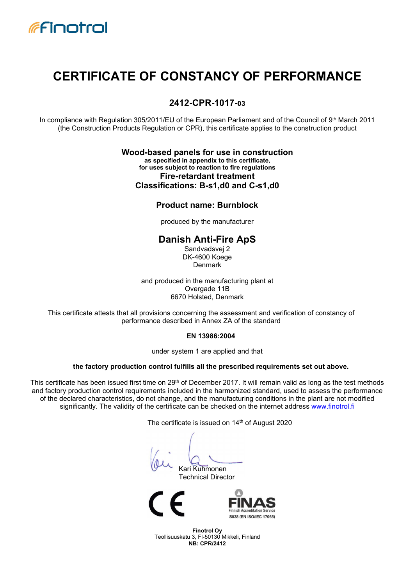

## CERTIFICATE OF CONSTANCY OF PERFORMANCE

#### 2412-CPR-1017-03

In compliance with Regulation 305/2011/EU of the European Parliament and of the Council of 9th March 2011 (the Construction Products Regulation or CPR), this certificate applies to the construction product

#### Wood-based panels for use in construction as specified in appendix to this certificate, for uses subject to reaction to fire regulations

Fire-retardant treatment Classifications: B-s1,d0 and C-s1,d0

#### Product name: Burnblock

produced by the manufacturer

## Danish Anti-Fire ApS

Sandvadsvej 2 DK-4600 Koege Denmark

and produced in the manufacturing plant at Overgade 11B 6670 Holsted, Denmark

This certificate attests that all provisions concerning the assessment and verification of constancy of performance described in Annex ZA of the standard

#### EN 13986:2004

under system 1 are applied and that

#### the factory production control fulfills all the prescribed requirements set out above.

This certificate has been issued first time on 29<sup>th</sup> of December 2017. It will remain valid as long as the test methods and factory production control requirements included in the harmonized standard, used to assess the performance of the declared characteristics, do not change, and the manufacturing conditions in the plant are not modified significantly. The validity of the certificate can be checked on the internet address www.finotrol.fi

The certificate is issued on 14<sup>th</sup> of August 2020

Kari Kuhmonen

Technical Director



Finotrol Oy Teollisuuskatu 3, FI-50130 Mikkeli, Finland NB: CPR/2412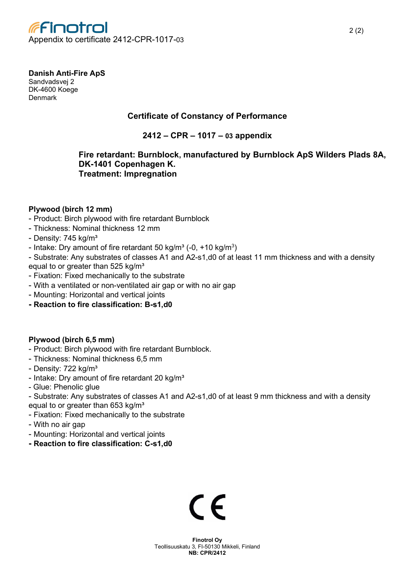

## Danish Anti-Fire ApS

Sandvadsvej 2 DK-4600 Koege Denmark

## Certificate of Constancy of Performance

2412 – CPR – 1017 – 03 appendix

#### Fire retardant: Burnblock, manufactured by Burnblock ApS Wilders Plads 8A, DK-1401 Copenhagen K. Treatment: Impregnation

#### Plywood (birch 12 mm)

- Product: Birch plywood with fire retardant Burnblock
- Thickness: Nominal thickness 12 mm
- Density: 745 kg/m<sup>3</sup>
- Intake: Dry amount of fire retardant 50 kg/m<sup>3</sup> (-0, +10 kg/m<sup>3</sup>)

- Substrate: Any substrates of classes A1 and A2-s1,d0 of at least 11 mm thickness and with a density equal to or greater than  $525$  kg/m<sup>3</sup>

- Fixation: Fixed mechanically to the substrate
- With a ventilated or non-ventilated air gap or with no air gap
- Mounting: Horizontal and vertical joints
- Reaction to fire classification: B-s1,d0

#### Plywood (birch 6,5 mm)

- Product: Birch plywood with fire retardant Burnblock.
- Thickness: Nominal thickness 6,5 mm
- Density: 722 kg/m<sup>3</sup>
- Intake: Dry amount of fire retardant 20 kg/m<sup>3</sup>
- Glue: Phenolic glue
- Substrate: Any substrates of classes A1 and A2-s1,d0 of at least 9 mm thickness and with a density equal to or greater than  $653$  kg/m<sup>3</sup>
- Fixation: Fixed mechanically to the substrate
- With no air gap
- Mounting: Horizontal and vertical joints
- Reaction to fire classification: C-s1,d0

# $\epsilon$

Finotrol Oy Teollisuuskatu 3, FI-50130 Mikkeli, Finland NB: CPR/2412